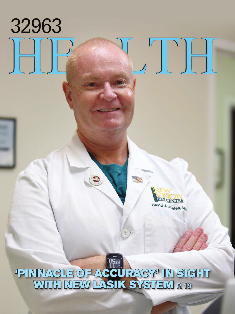# 32963



## 'PINNACLE OF ACCURACY' IN SIGHT WITH NEW LASIK SYSTEM P. 19

S